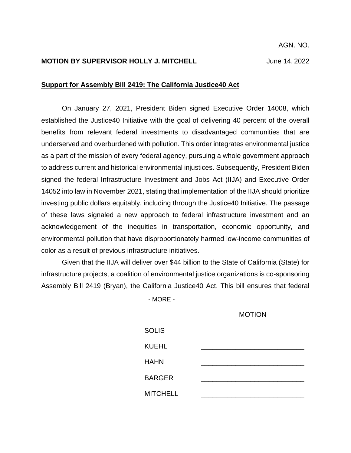# **MOTION BY SUPERVISOR HOLLY J. MITCHELL** June 14, 2022

### **Support for Assembly Bill 2419: The California Justice40 Act**

On January 27, 2021, President Biden signed Executive Order 14008, which established the Justice40 Initiative with the goal of delivering 40 percent of the overall benefits from relevant federal investments to disadvantaged communities that are underserved and overburdened with pollution. This order integrates environmental justice as a part of the mission of every federal agency, pursuing a whole government approach to address current and historical environmental injustices. Subsequently, President Biden signed the federal Infrastructure Investment and Jobs Act (IIJA) and Executive Order 14052 into law in November 2021, stating that implementation of the IIJA should prioritize investing public dollars equitably, including through the Justice40 Initiative. The passage of these laws signaled a new approach to federal infrastructure investment and an acknowledgement of the inequities in transportation, economic opportunity, and environmental pollution that have disproportionately harmed low-income communities of color as a result of previous infrastructure initiatives.

Given that the IIJA will deliver over \$44 billion to the State of California (State) for infrastructure projects, a coalition of environmental justice organizations is co-sponsoring Assembly Bill 2419 (Bryan), the California Justice40 Act. This bill ensures that federal

- MORE -

#### MOTION

| <b>SOLIS</b>    |  |
|-----------------|--|
| <b>KUEHL</b>    |  |
| <b>HAHN</b>     |  |
| <b>BARGER</b>   |  |
| <b>MITCHELL</b> |  |